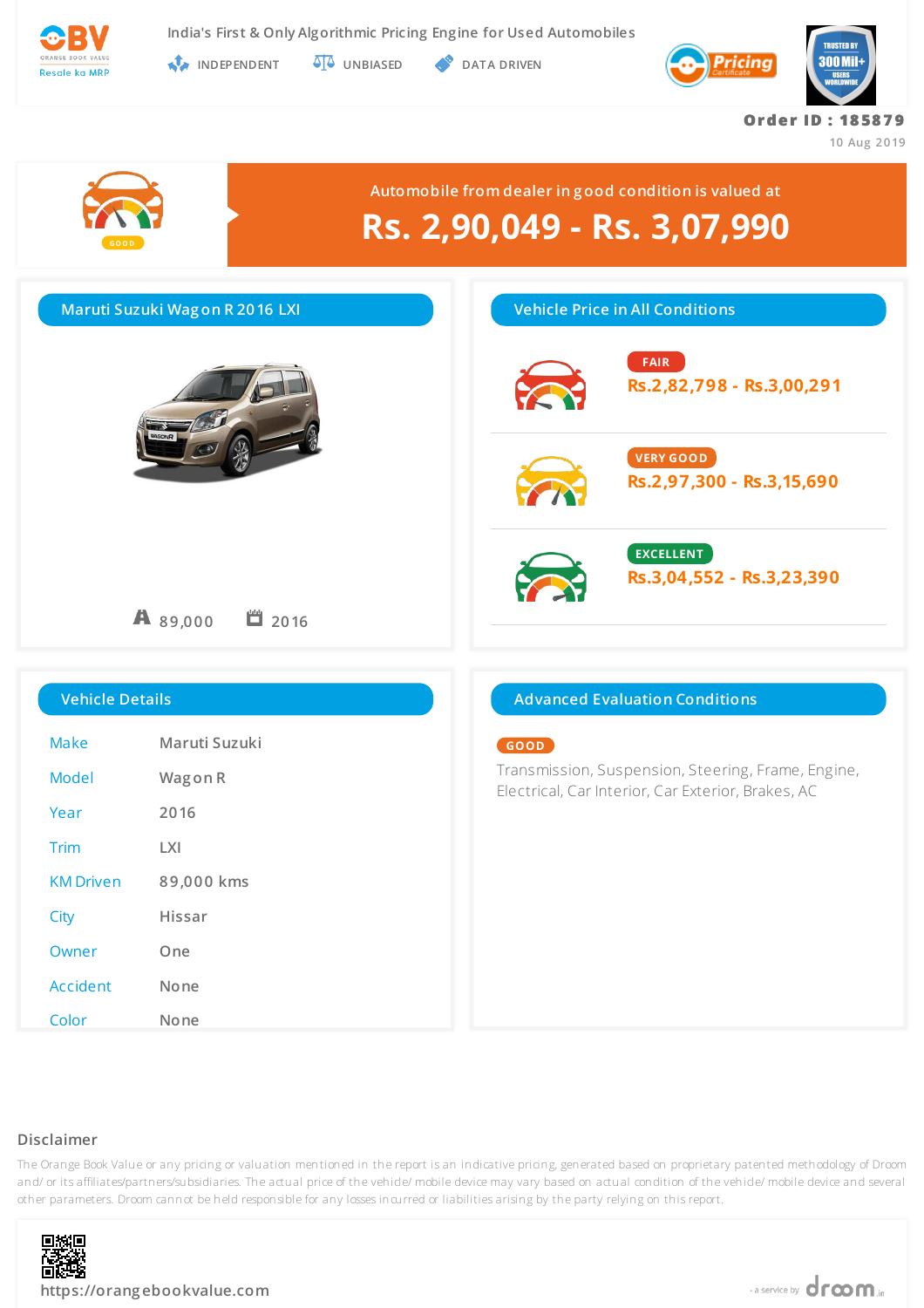

**INDEPENDENT UNBIASED DATA DRIVEN** 



**Or de r ID : 18 58 7 9**

**10 Aug 2019**



### **Disclaimer**



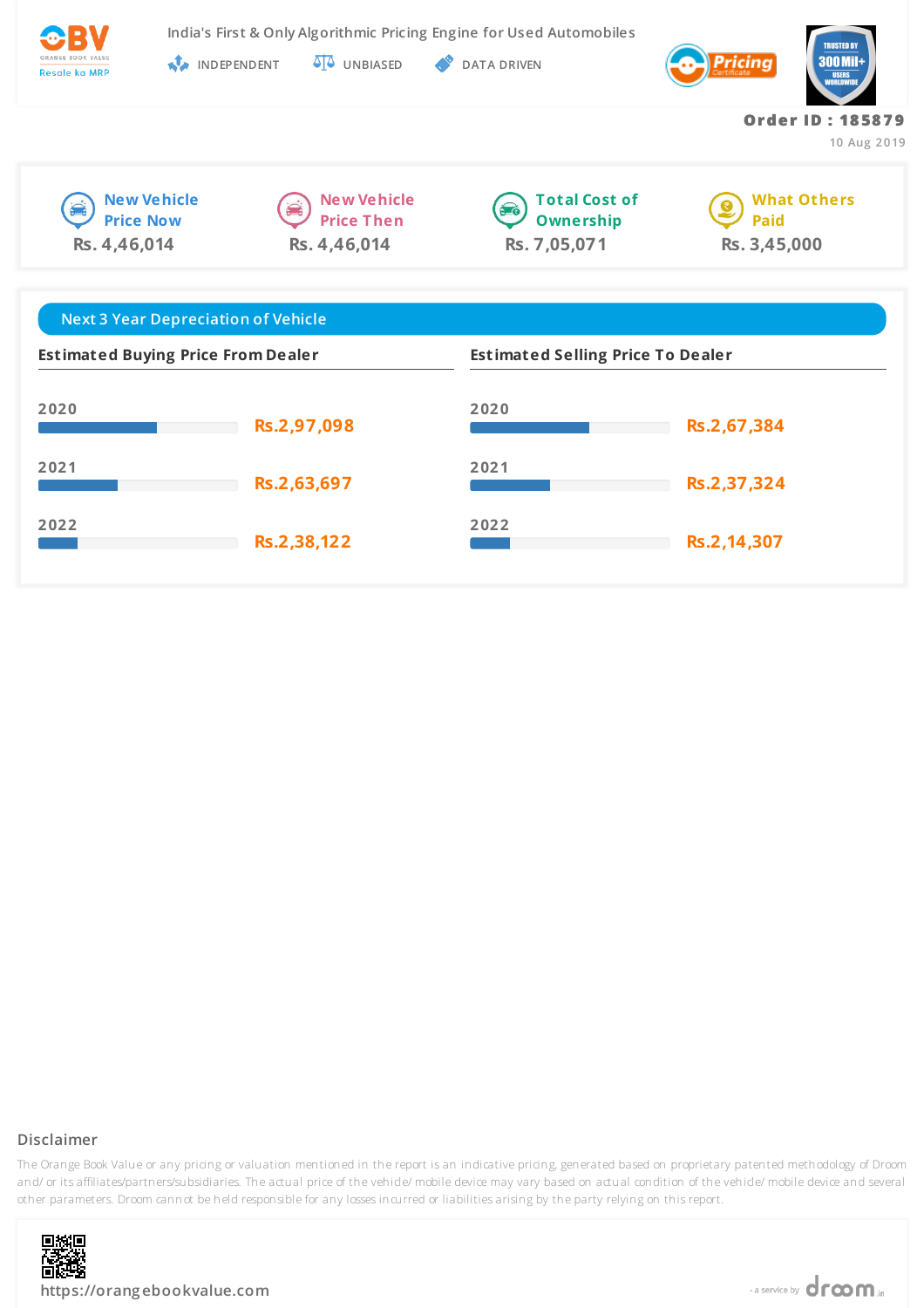

**India's First & Only Algorithmic Pricing Engine for Used Automobiles**

**New Vehicle Price Now**

**Rs. 4,46,014**

**INDEPENDENT UNBIASED DATA DRIVEN** 



**New Vehicle Price Then Rs. 4,46,014**



**What Others Paid Rs. 3,45,000**

**Or de r ID : 18 58 7 9**

**10 Aug 2019**

| <b>Next 3 Year Depreciation of Vehicle</b> |             |                                          |             |  |
|--------------------------------------------|-------------|------------------------------------------|-------------|--|
| <b>Estimated Buying Price From Dealer</b>  |             | <b>Estimated Selling Price To Dealer</b> |             |  |
| 2020                                       | Rs.2,97,098 | 2020                                     | Rs.2,67,384 |  |
| 2021                                       | Rs.2,63,697 | 2021                                     | Rs.2,37,324 |  |
| 2022                                       | Rs.2,38,122 | 2022                                     | Rs.2,14,307 |  |

## **Disclaimer**

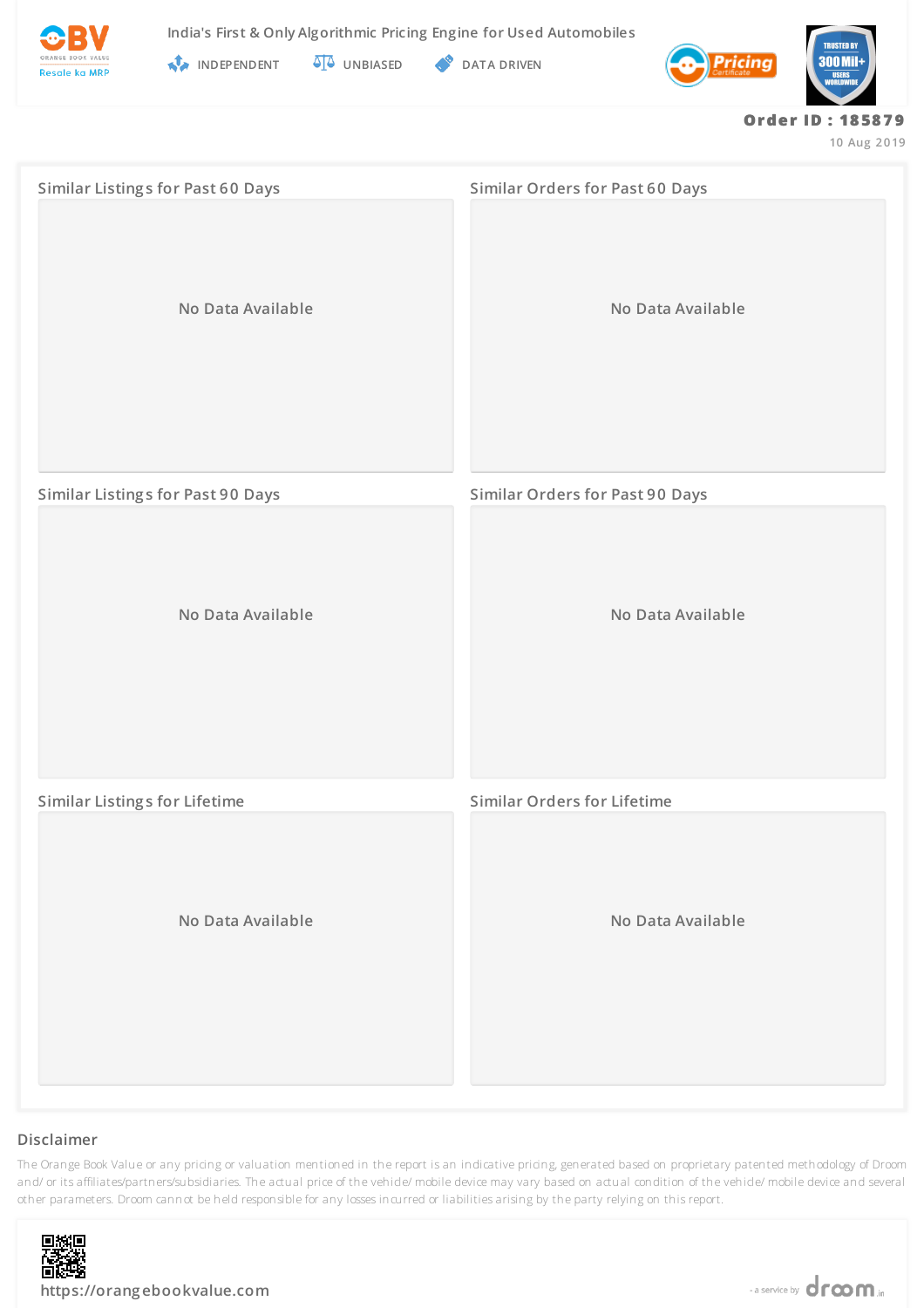



**INDEPENDENT UNBIASED DATA DRIVEN** 



#### **Or de r ID : 18 58 7 9**

**10 Aug 2019**

| <b>Similar Listings for Past 60 Days</b> | <b>Similar Orders for Past 60 Days</b> |  |
|------------------------------------------|----------------------------------------|--|
| No Data Available                        | No Data Available                      |  |
| <b>Similar Listings for Past 90 Days</b> | <b>Similar Orders for Past 90 Days</b> |  |
| No Data Available                        | No Data Available                      |  |
| <b>Similar Listings for Lifetime</b>     | <b>Similar Orders for Lifetime</b>     |  |
| No Data Available                        | No Data Available                      |  |

### **Disclaimer**

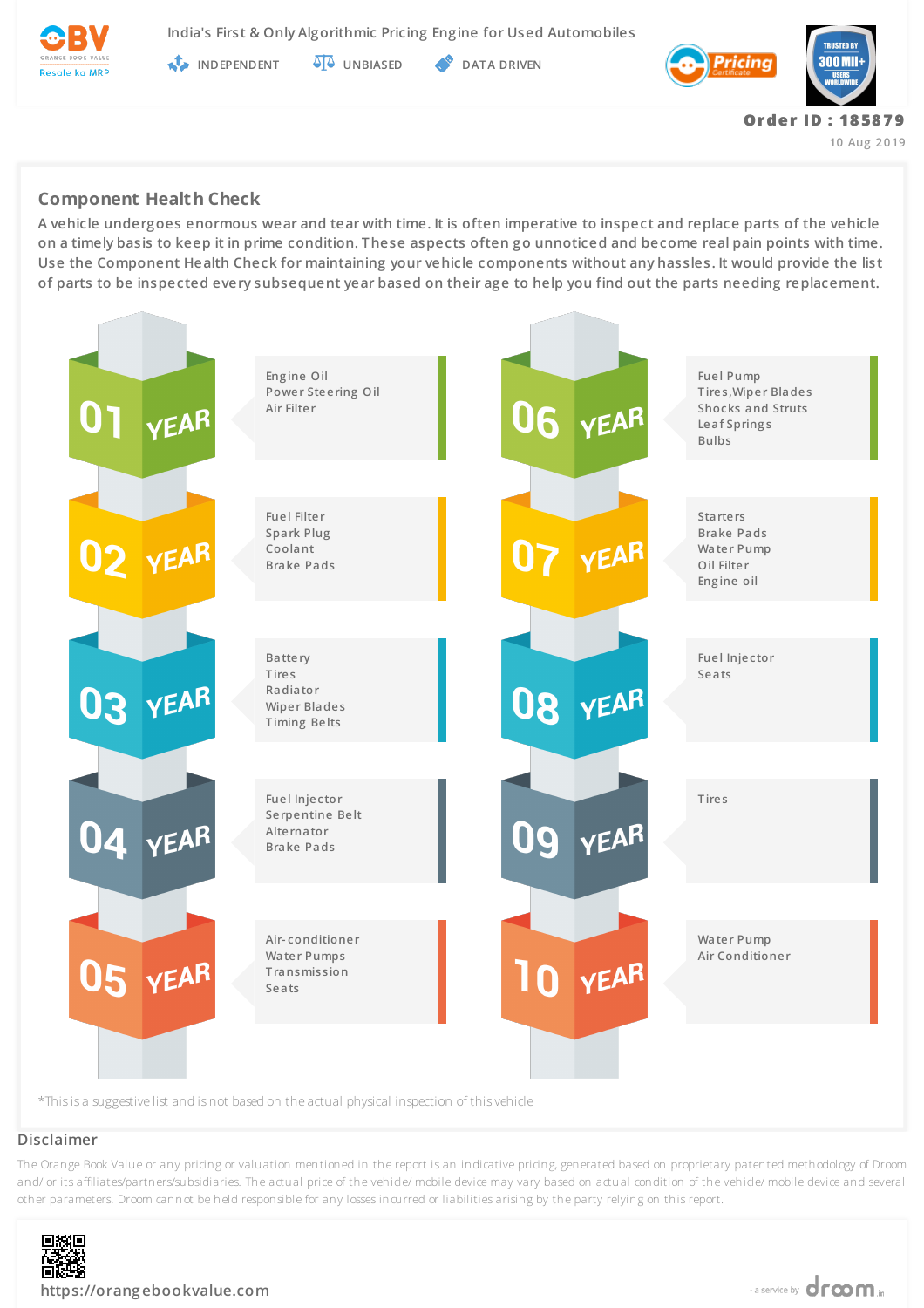

**India's First & Only Algorithmic Pricing Engine for Used Automobiles**

**INDEPENDENT AT UNBIASED PATA DRIVEN** 



# **Component Health Check**

**A vehicle undergoes enormous wear and tear with time. It is often imperative to inspect and replace parts of the vehicle on a timely basis to keep it in prime condition. These aspects often go unnoticed and become real pain points with time. Use the Component Health Check for maintaining your vehicle components without any hassles. It would provide the list of parts to be inspected every subsequent year based on their age to help you find out the parts needing replacement.**



### **Disclaimer**